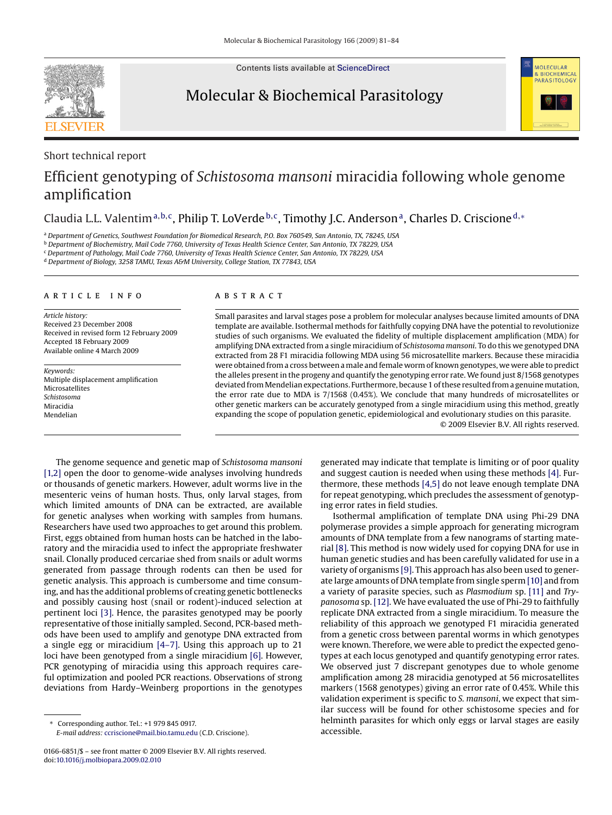Contents lists available at [ScienceDirect](http://www.sciencedirect.com/science/journal/01666851)

## Molecular & Biochemical Parasitology



**SEVIER** 

# MOLECIJI AR **BIOCHEMICAL PARASITOLOGY**

## Efficient genotyping of *Schistosoma mansoni* miracidia following whole genome amplification

### Claudia L.L. Valentim<sup>a,b,c</sup>, Philip T. LoVerde <sup>b,c</sup>, Timothy J.C. Anderson<sup>a</sup>, Charles D. Criscione<sup>d,\*</sup>

<sup>a</sup> *Department of Genetics, Southwest Foundation for Biomedical Research, P.O. Box 760549, San Antonio, TX, 78245, USA*

<sup>b</sup> *Department of Biochemistry, Mail Code 7760, University of Texas Health Science Center, San Antonio, TX 78229, USA*

<sup>c</sup> *Department of Pathology, Mail Code 7760, University of Texas Health Science Center, San Antonio, TX 78229, USA*

<sup>d</sup> *Department of Biology, 3258 TAMU, Texas A&M University, College Station, TX 77843, USA*

#### article info

*Article history:* Received 23 December 2008 Received in revised form 12 February 2009 Accepted 18 February 2009 Available online 4 March 2009

*Keywords:* Multiple displacement amplification Microsatellites *Schistosoma* Miracidia Mendelian

#### ABSTRACT

Small parasites and larval stages pose a problem for molecular analyses because limited amounts of DNA template are available. Isothermal methods for faithfully copying DNA have the potential to revolutionize studies of such organisms. We evaluated the fidelity of multiple displacement amplification (MDA) for amplifying DNA extracted from a single miracidium of *Schistosoma mansoni*. To do this we genotyped DNA extracted from 28 F1 miracidia following MDA using 56 microsatellite markers. Because these miracidia were obtained from a cross between a male and female worm of known genotypes, we were able to predict the alleles present in the progeny and quantify the genotyping error rate. We found just 8/1568 genotypes deviated from Mendelian expectations. Furthermore, because 1 of these resulted from a genuine mutation, the error rate due to MDA is 7/1568 (0.45%). We conclude that many hundreds of microsatellites or other genetic markers can be accurately genotyped from a single miracidium using this method, greatly expanding the scope of population genetic, epidemiological and evolutionary studies on this parasite.

© 2009 Elsevier B.V. All rights reserved.

The genome sequence and genetic map of *Schistosoma mansoni* [\[1,2\]](#page-3-0) open the door to genome-wide analyses involving hundreds or thousands of genetic markers. However, adult worms live in the mesenteric veins of human hosts. Thus, only larval stages, from which limited amounts of DNA can be extracted, are available for genetic analyses when working with samples from humans. Researchers have used two approaches to get around this problem. First, eggs obtained from human hosts can be hatched in the laboratory and the miracidia used to infect the appropriate freshwater snail. Clonally produced cercariae shed from snails or adult worms generated from passage through rodents can then be used for genetic analysis. This approach is cumbersome and time consuming, and has the additional problems of creating genetic bottlenecks and possibly causing host (snail or rodent)-induced selection at pertinent loci [\[3\]. H](#page-3-0)ence, the parasites genotyped may be poorly representative of those initially sampled. Second, PCR-based methods have been used to amplify and genotype DNA extracted from a single egg or miracidium [\[4–7\].](#page-3-0) Using this approach up to 21 loci have been genotyped from a single miracidium [\[6\]. H](#page-3-0)owever, PCR genotyping of miracidia using this approach requires careful optimization and pooled PCR reactions. Observations of strong deviations from Hardy–Weinberg proportions in the genotypes

generated may indicate that template is limiting or of poor quality and suggest caution is needed when using these methods [\[4\]. F](#page-3-0)urthermore, these methods [\[4,5\]](#page-3-0) do not leave enough template DNA for repeat genotyping, which precludes the assessment of genotyping error rates in field studies.

Isothermal amplification of template DNA using Phi-29 DNA polymerase provides a simple approach for generating microgram amounts of DNA template from a few nanograms of starting material [\[8\]. T](#page-3-0)his method is now widely used for copying DNA for use in human genetic studies and has been carefully validated for use in a variety of organisms [\[9\]. T](#page-3-0)his approach has also been used to generate large amounts of DNA template from single sperm [\[10\]](#page-3-0) and from a variety of parasite species, such as *Plasmodium* sp. [\[11\]](#page-3-0) and *Trypanosoma* sp. [\[12\]. W](#page-3-0)e have evaluated the use of Phi-29 to faithfully replicate DNA extracted from a single miracidium. To measure the reliability of this approach we genotyped F1 miracidia generated from a genetic cross between parental worms in which genotypes were known. Therefore, we were able to predict the expected genotypes at each locus genotyped and quantify genotyping error rates. We observed just 7 discrepant genotypes due to whole genome amplification among 28 miracidia genotyped at 56 microsatellites markers (1568 genotypes) giving an error rate of 0.45%. While this validation experiment is specific to *S. mansoni*, we expect that similar success will be found for other schistosome species and for helminth parasites for which only eggs or larval stages are easily accessible.

<sup>∗</sup> Corresponding author. Tel.: +1 979 845 0917. *E-mail address:* [ccriscione@mail.bio.tamu.edu](mailto:ccriscione@mail.bio.tamu.edu) (C.D. Criscione).

<sup>0166-6851/\$ –</sup> see front matter © 2009 Elsevier B.V. All rights reserved. doi:[10.1016/j.molbiopara.2009.02.010](dx.doi.org/10.1016/j.molbiopara.2009.02.010)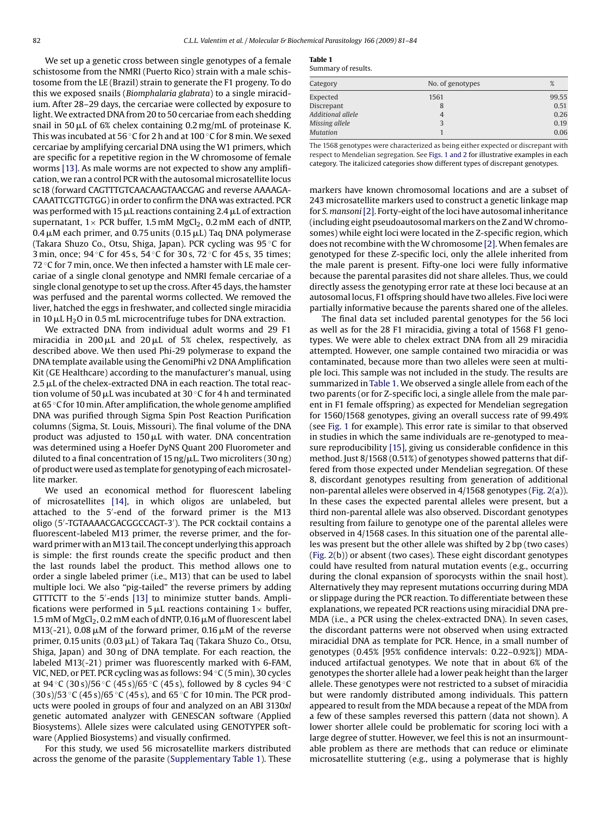We set up a genetic cross between single genotypes of a female schistosome from the NMRI (Puerto Rico) strain with a male schistosome from the LE (Brazil) strain to generate the F1 progeny. To do this we exposed snails (*Biomphalaria glabrata*) to a single miracidium. After 28–29 days, the cercariae were collected by exposure to light.We extracted DNA from 20 to 50 cercariae from each shedding snail in 50  $\rm \mu L$  of 6% chelex containing 0.2 mg/mL of proteinase K. This was incubated at 56 ◦C for 2 h and at 100 ◦C for 8 min. We sexed cercariae by amplifying cercarial DNA using the W1 primers, which are specific for a repetitive region in the W chromosome of female worms [\[13\]. A](#page-3-0)s male worms are not expected to show any amplification, we ran a control PCR with the autosomal microsatellite locus sc18 (forward CAGTTTGTCAACAAGTAACGAG and reverse AAAAGA-CAAATTCGTTGTGG) in order to confirm the DNA was extracted. PCR was performed with 15  $\rm \mu L$  reactions containing 2.4  $\rm \mu L$  of extraction supernatant,  $1 \times$  PCR buffer, 1.5 mM MgCl<sub>2</sub>, 0.2 mM each of dNTP, 0.4  $\mu$ M each primer, and 0.75 units (0.15  $\mu$ L) Taq DNA polymerase (Takara Shuzo Co., Otsu, Shiga, Japan). PCR cycling was 95 ◦C for 3 min, once; 94 ℃ for 45 s, 54 ℃ for 30 s, 72 °C for 45 s, 35 times; 72  $\degree$ C for 7 min, once. We then infected a hamster with LE male cercariae of a single clonal genotype and NMRI female cercariae of a single clonal genotype to set up the cross. After 45 days, the hamster was perfused and the parental worms collected. We removed the liver, hatched the eggs in freshwater, and collected single miracidia in 10  $\rm \mu L$  H $\rm _2$ O in 0.5 mL microcentrifuge tubes for DNA extraction.

We extracted DNA from individual adult worms and 29 F1 miracidia in 200 $\mu$ L and 20 $\mu$ L of 5% chelex, respectively, as described above. We then used Phi-29 polymerase to expand the DNA template available using the GenomiPhi v2 DNA Amplification Kit (GE Healthcare) according to the manufacturer's manual, using 2.5  $\mu$ L of the chelex-extracted DNA in each reaction. The total reaction volume of 50  $\mu$ L was incubated at 30 °C for 4 h and terminated at 65 ◦C for 10 min. After amplification, the whole genome amplified DNA was purified through Sigma Spin Post Reaction Purification columns (Sigma, St. Louis, Missouri). The final volume of the DNA product was adjusted to 150 $\rm \mu L$  with water. DNA concentration was determined using a Hoefer DyNS Quant 200 Fluorometer and diluted to a final concentration of 15 ng/µL. Two microliters (30 ng) of product were used as template for genotyping of each microsatellite marker.

We used an economical method for fluorescent labeling of microsatellites [\[14\],](#page-3-0) in which oligos are unlabeled, but attached to the 5 -end of the forward primer is the M13 oligo (5 -TGTAAAACGACGGCCAGT-3 ). The PCR cocktail contains a fluorescent-labeled M13 primer, the reverse primer, and the forward primer with an M13 tail. The concept underlying this approach is simple: the first rounds create the specific product and then the last rounds label the product. This method allows one to order a single labeled primer (i.e., M13) that can be used to label multiple loci. We also "pig-tailed" the reverse primers by adding GTTTCTT to the 5 -ends [\[13\]](#page-3-0) to minimize stutter bands. Amplifications were performed in 5  $\mu$ L reactions containing 1 $\times$  buffer, 1.5 mM of MgCl $_2$ , 0.2 mM each of dNTP, 0.16  $\mu$ M of fluorescent label M13(-21), 0.08  $\mu$ M of the forward primer, 0.16  $\mu$ M of the reverse primer, 0.15 units (0.03 µL) of Takara Taq (Takara Shuzo Co., Otsu, Shiga, Japan) and 30 ng of DNA template. For each reaction, the labeled M13(-21) primer was fluorescently marked with 6-FAM, VIC, NED, or PET. PCR cycling was as follows: 94 ◦C (5 min), 30 cycles at  $94 °C$  (30 s)/56 °C (45 s)/65 °C (45 s), followed by 8 cycles  $94 °C$  $(30 \text{ s})/53 \text{ °C}$  (45 s)/65 °C (45 s), and 65 °C for 10 min. The PCR products were pooled in groups of four and analyzed on an ABI 3130*xl* genetic automated analyzer with GENESCAN software (Applied Biosystems). Allele sizes were calculated using GENOTYPER software (Applied Biosystems) and visually confirmed.

For this study, we used 56 microsatellite markers distributed across the genome of the parasite (Supplementary Table 1). These

| тавне т             |  |
|---------------------|--|
| Summary of results. |  |

**Table 1**

| Category          | No. of genotypes | %     |
|-------------------|------------------|-------|
| Expected          | 1561             | 99.55 |
| Discrepant        | 8                | 0.51  |
| Additional allele | $\overline{4}$   | 0.26  |
| Missing allele    | 3                | 0.19  |
| <b>Mutation</b>   |                  | 0.06  |

The 1568 genotypes were characterized as being either expected or discrepant with respect to Mendelian segregation. See [Figs. 1 and 2](#page-2-0) for illustrative examples in each category. The italicized categories show different types of discrepant genotypes.

markers have known chromosomal locations and are a subset of 243 microsatellite markers used to construct a genetic linkage map for *S. mansoni*[\[2\]. F](#page-3-0)orty-eight of the loci have autosomal inheritance (including eight pseudoautosomal markers on the Z and W chromosomes) while eight loci were located in the Z-specific region, which does not recombine with the W chromosome [\[2\]. W](#page-3-0)hen females are genotyped for these Z-specific loci, only the allele inherited from the male parent is present. Fifty-one loci were fully informative because the parental parasites did not share alleles. Thus, we could directly assess the genotyping error rate at these loci because at an autosomal locus, F1 offspring should have two alleles. Five loci were partially informative because the parents shared one of the alleles.

The final data set included parental genotypes for the 56 loci as well as for the 28 F1 miracidia, giving a total of 1568 F1 genotypes. We were able to chelex extract DNA from all 29 miracidia attempted. However, one sample contained two miracidia or was contaminated, because more than two alleles were seen at multiple loci. This sample was not included in the study. The results are summarized in Table 1. We observed a single allele from each of the two parents (or for Z-specific loci, a single allele from the male parent in F1 female offspring) as expected for Mendelian segregation for 1560/1568 genotypes, giving an overall success rate of 99.49% (see [Fig. 1](#page-2-0) for example). This error rate is similar to that observed in studies in which the same individuals are re-genotyped to measure reproducibility [\[15\], g](#page-3-0)iving us considerable confidence in this method. Just 8/1568 (0.51%) of genotypes showed patterns that differed from those expected under Mendelian segregation. Of these 8, discordant genotypes resulting from generation of additional non-parental alleles were observed in 4/1568 genotypes ([Fig. 2\(a](#page-2-0))). In these cases the expected parental alleles were present, but a third non-parental allele was also observed. Discordant genotypes resulting from failure to genotype one of the parental alleles were observed in 4/1568 cases. In this situation one of the parental alleles was present but the other allele was shifted by 2 bp (two cases) [\(Fig. 2\(b](#page-2-0))) or absent (two cases). These eight discordant genotypes could have resulted from natural mutation events (e.g., occurring during the clonal expansion of sporocysts within the snail host). Alternatively they may represent mutations occurring during MDA or slippage during the PCR reaction. To differentiate between these explanations, we repeated PCR reactions using miracidial DNA pre-MDA (i.e., a PCR using the chelex-extracted DNA). In seven cases, the discordant patterns were not observed when using extracted miracidial DNA as template for PCR. Hence, in a small number of genotypes (0.45% [95% confidence intervals: 0.22–0.92%]) MDAinduced artifactual genotypes. We note that in about 6% of the genotypes the shorter allele had a lower peak height than the larger allele. These genotypes were not restricted to a subset of miracidia but were randomly distributed among individuals. This pattern appeared to result from the MDA because a repeat of the MDA from a few of these samples reversed this pattern (data not shown). A lower shorter allele could be problematic for scoring loci with a large degree of stutter. However, we feel this is not an insurmountable problem as there are methods that can reduce or eliminate microsatellite stuttering (e.g., using a polymerase that is highly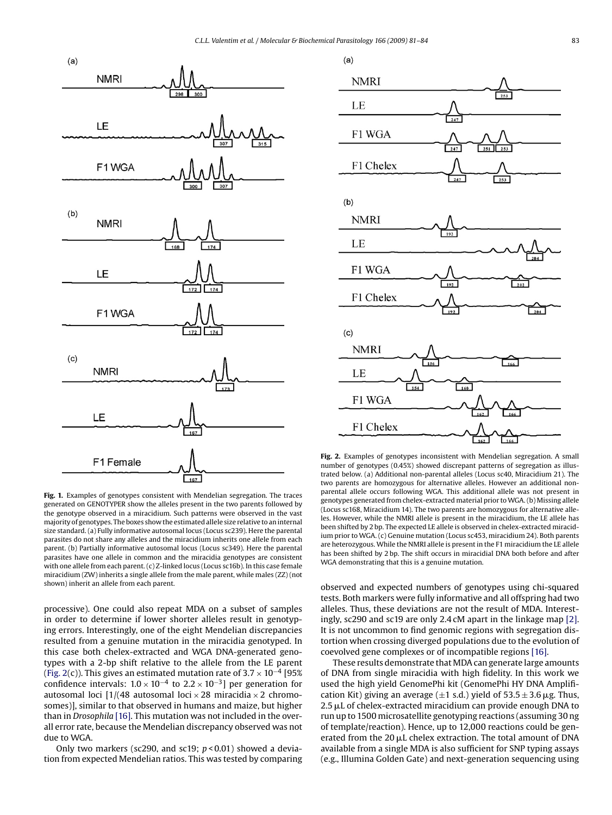<span id="page-2-0"></span>

**Fig. 1.** Examples of genotypes consistent with Mendelian segregation. The traces generated on GENOTYPER show the alleles present in the two parents followed by the genotype observed in a miracidium. Such patterns were observed in the vast majority of genotypes. The boxes show the estimated allele size relative to an internal size standard. (a) Fully informative autosomal locus (Locus sc239). Here the parental parasites do not share any alleles and the miracidium inherits one allele from each parent. (b) Partially informative autosomal locus (Locus sc349). Here the parental parasites have one allele in common and the miracidia genotypes are consistent with one allele from each parent. (c) Z-linked locus (Locus sc16b). In this case female miracidium (ZW) inherits a single allele from the male parent, while males (ZZ) (not shown) inherit an allele from each parent.

processive). One could also repeat MDA on a subset of samples in order to determine if lower shorter alleles result in genotyping errors. Interestingly, one of the eight Mendelian discrepancies resulted from a genuine mutation in the miracidia genotyped. In this case both chelex-extracted and WGA DNA-generated genotypes with a 2-bp shift relative to the allele from the LE parent (Fig. 2(c)). This gives an estimated mutation rate of  $3.7 \times 10^{-4}$  [95% confidence intervals:  $1.0 \times 10^{-4}$  to  $2.2 \times 10^{-3}$ ] per generation for autosomal loci  $\left[1\right]$  (48 autosomal loci  $\times$  28 miracidia  $\times$  2 chromosomes)], similar to that observed in humans and maize, but higher than in *Drosophila* [\[16\]. T](#page-3-0)his mutation was not included in the overall error rate, because the Mendelian discrepancy observed was not due to WGA.

Only two markers (sc290, and sc19; *p* < 0.01) showed a deviation from expected Mendelian ratios. This was tested by comparing



**Fig. 2.** Examples of genotypes inconsistent with Mendelian segregation. A small number of genotypes (0.45%) showed discrepant patterns of segregation as illustrated below. (a) Additional non-parental alleles (Locus sc40, Miracidium 21). The two parents are homozygous for alternative alleles. However an additional nonparental allele occurs following WGA. This additional allele was not present in genotypes generated from chelex-extracted material prior toWGA. (b) Missing allele (Locus sc168, Miracidium 14). The two parents are homozygous for alternative alleles. However, while the NMRI allele is present in the miracidium, the LE allele has been shifted by 2 bp. The expected LE allele is observed in chelex-extracted miracidium prior to WGA. (c) Genuine mutation (Locus sc453, miracidium 24). Both parents are heterozygous. While the NMRI allele is present in the F1 miracidium the LE allele has been shifted by 2 bp. The shift occurs in miracidial DNA both before and after WGA demonstrating that this is a genuine mutation.

observed and expected numbers of genotypes using chi-squared tests. Both markers were fully informative and all offspring had two alleles. Thus, these deviations are not the result of MDA. Interestingly, sc290 and sc19 are only 2.4 cM apart in the linkage map [\[2\].](#page-3-0) It is not uncommon to find genomic regions with segregation distortion when crossing diverged populations due to the evolution of coevolved gene complexes or of incompatible regions [\[16\].](#page-3-0)

These results demonstrate that MDA can generate large amounts of DNA from single miracidia with high fidelity. In this work we used the high yield GenomePhi kit (GenomePhi HY DNA Amplification Kit) giving an average ( $\pm 1$  s.d.) yield of 53.5  $\pm$  3.6  $\mu$ g. Thus,  $2.5 \mu$ L of chelex-extracted miracidium can provide enough DNA to run up to 1500 microsatellite genotyping reactions (assuming 30 ng of template/reaction). Hence, up to 12,000 reactions could be generated from the 20  $\mu$ L chelex extraction. The total amount of DNA available from a single MDA is also sufficient for SNP typing assays (e.g., Illumina Golden Gate) and next-generation sequencing using